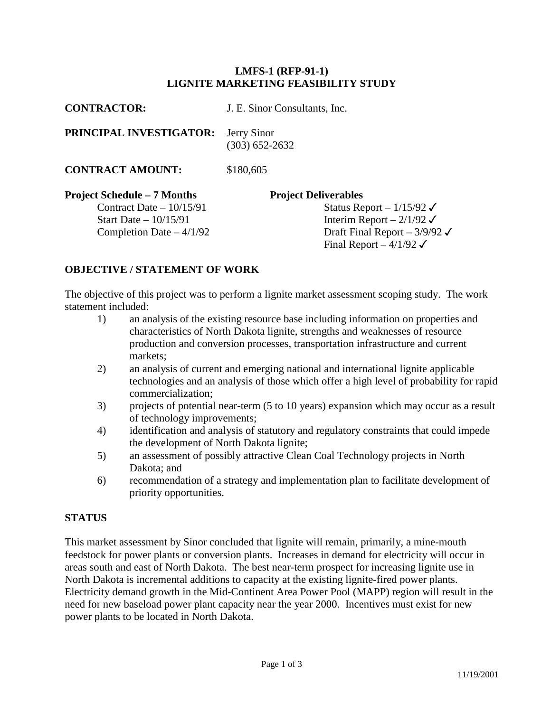### **LMFS-1 (RFP-91-1) LIGNITE MARKETING FEASIBILITY STUDY**

| <b>CONTRACTOR:</b>                                                                                                     | J. E. Sinor Consultants, Inc.                                                                                                                                                     |
|------------------------------------------------------------------------------------------------------------------------|-----------------------------------------------------------------------------------------------------------------------------------------------------------------------------------|
| PRINCIPAL INVESTIGATOR:                                                                                                | Jerry Sinor<br>$(303) 652 - 2632$                                                                                                                                                 |
| <b>CONTRACT AMOUNT:</b>                                                                                                | \$180,605                                                                                                                                                                         |
| <b>Project Schedule – 7 Months</b><br>Contract Date $-10/15/91$<br>Start Date $-10/15/91$<br>Completion Date $-4/1/92$ | <b>Project Deliverables</b><br>Status Report – $1/15/92 \checkmark$<br>Interim Report – $2/1/92$<br>Draft Final Report – $3/9/92 \checkmark$<br>Final Report $-4/1/92 \checkmark$ |

## **OBJECTIVE / STATEMENT OF WORK**

The objective of this project was to perform a lignite market assessment scoping study. The work statement included:

- 1) an analysis of the existing resource base including information on properties and characteristics of North Dakota lignite, strengths and weaknesses of resource production and conversion processes, transportation infrastructure and current markets;
- 2) an analysis of current and emerging national and international lignite applicable technologies and an analysis of those which offer a high level of probability for rapid commercialization;
- 3) projects of potential near-term (5 to 10 years) expansion which may occur as a result of technology improvements;
- 4) identification and analysis of statutory and regulatory constraints that could impede the development of North Dakota lignite;
- 5) an assessment of possibly attractive Clean Coal Technology projects in North Dakota; and
- 6) recommendation of a strategy and implementation plan to facilitate development of priority opportunities.

## **STATUS**

This market assessment by Sinor concluded that lignite will remain, primarily, a mine-mouth feedstock for power plants or conversion plants. Increases in demand for electricity will occur in areas south and east of North Dakota. The best near-term prospect for increasing lignite use in North Dakota is incremental additions to capacity at the existing lignite-fired power plants. Electricity demand growth in the Mid-Continent Area Power Pool (MAPP) region will result in the need for new baseload power plant capacity near the year 2000. Incentives must exist for new power plants to be located in North Dakota.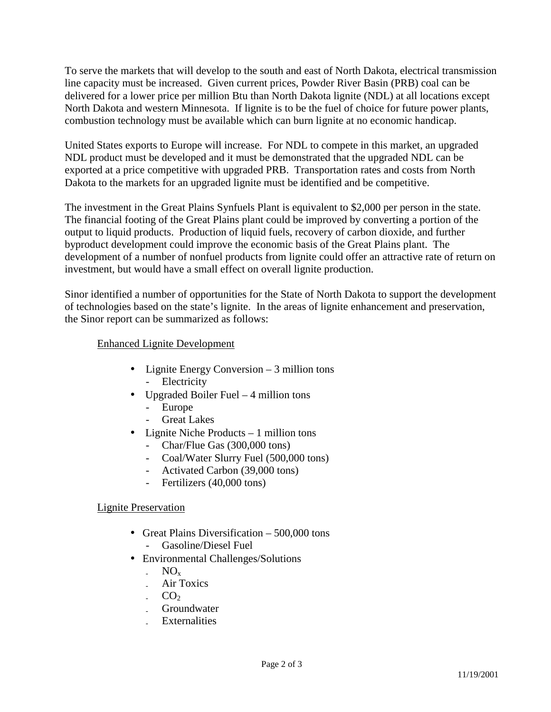To serve the markets that will develop to the south and east of North Dakota, electrical transmission line capacity must be increased. Given current prices, Powder River Basin (PRB) coal can be delivered for a lower price per million Btu than North Dakota lignite (NDL) at all locations except North Dakota and western Minnesota. If lignite is to be the fuel of choice for future power plants, combustion technology must be available which can burn lignite at no economic handicap.

United States exports to Europe will increase. For NDL to compete in this market, an upgraded NDL product must be developed and it must be demonstrated that the upgraded NDL can be exported at a price competitive with upgraded PRB. Transportation rates and costs from North Dakota to the markets for an upgraded lignite must be identified and be competitive.

The investment in the Great Plains Synfuels Plant is equivalent to \$2,000 per person in the state. The financial footing of the Great Plains plant could be improved by converting a portion of the output to liquid products. Production of liquid fuels, recovery of carbon dioxide, and further byproduct development could improve the economic basis of the Great Plains plant. The development of a number of nonfuel products from lignite could offer an attractive rate of return on investment, but would have a small effect on overall lignite production.

Sinor identified a number of opportunities for the State of North Dakota to support the development of technologies based on the state's lignite. In the areas of lignite enhancement and preservation, the Sinor report can be summarized as follows:

## Enhanced Lignite Development

- Lignite Energy Conversion 3 million tons - Electricity
- Upgraded Boiler Fuel 4 million tons
	- Europe
	- **Great Lakes**
- Lignite Niche Products 1 million tons
	- Char/Flue Gas (300,000 tons)
	- Coal/Water Slurry Fuel (500,000 tons)
	- Activated Carbon (39,000 tons)
	- Fertilizers (40,000 tons)

# Lignite Preservation

- Great Plains Diversification 500,000 tons - Gasoline/Diesel Fuel
- Environmental Challenges/Solutions
	- $NO_x$
	- Air Toxics
	- $CO<sub>2</sub>$
	- **Groundwater**
	- **Externalities**